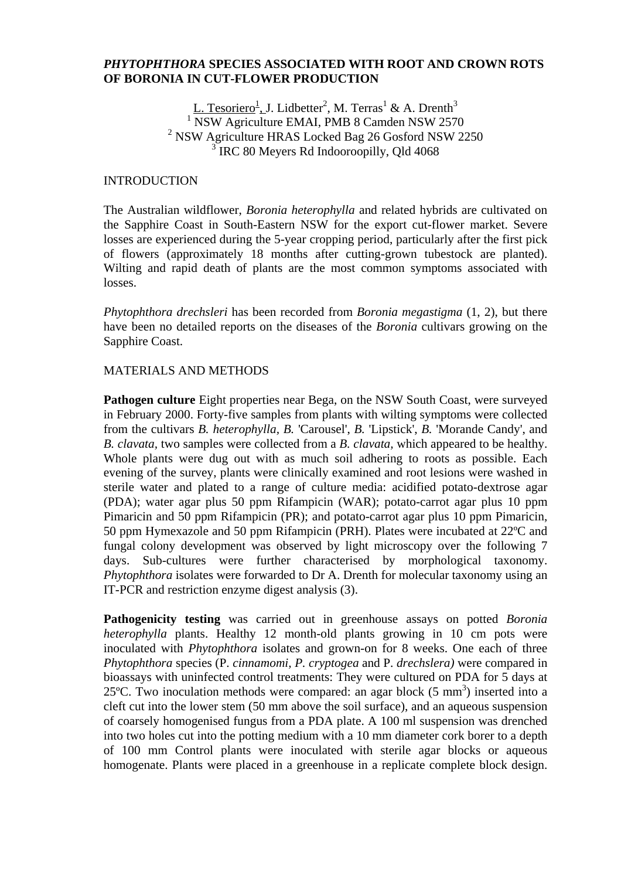#### *PHYTOPHTHORA* **SPECIES ASSOCIATED WITH ROOT AND CROWN ROTS OF BORONIA IN CUT-FLOWER PRODUCTION**

L. Tesoriero<sup>1</sup>, J. Lidbetter<sup>2</sup>, M. Terras<sup>1</sup> & A. Drenth<sup>3</sup> <sup>1</sup> NSW Agriculture EMAI, PMB 8 Camden NSW 2570 <sup>2</sup> NSW Agriculture HRAS Locked Bag 26 Gosford NSW 2250 <sup>3</sup> IRC 80 Meyers Rd Indooroopilly, Qld 4068

#### **INTRODUCTION**

The Australian wildflower, *Boronia heterophylla* and related hybrids are cultivated on the Sapphire Coast in South-Eastern NSW for the export cut-flower market. Severe losses are experienced during the 5-year cropping period, particularly after the first pick of flowers (approximately 18 months after cutting-grown tubestock are planted). Wilting and rapid death of plants are the most common symptoms associated with losses.

*Phytophthora drechsleri* has been recorded from *Boronia megastigma* (1, 2), but there have been no detailed reports on the diseases of the *Boronia* cultivars growing on the Sapphire Coast.

#### MATERIALS AND METHODS

**Pathogen culture** Eight properties near Bega, on the NSW South Coast, were surveyed in February 2000. Forty-five samples from plants with wilting symptoms were collected from the cultivars *B. heterophylla, B.* 'Carousel', *B.* 'Lipstick', *B.* 'Morande Candy', and *B. clavata,* two samples were collected from a *B. clavata,* which appeared to be healthy. Whole plants were dug out with as much soil adhering to roots as possible. Each evening of the survey, plants were clinically examined and root lesions were washed in sterile water and plated to a range of culture media: acidified potato-dextrose agar (PDA); water agar plus 50 ppm Rifampicin (WAR); potato-carrot agar plus 10 ppm Pimaricin and 50 ppm Rifampicin (PR); and potato-carrot agar plus 10 ppm Pimaricin, 50 ppm Hymexazole and 50 ppm Rifampicin (PRH). Plates were incubated at 22ºC and fungal colony development was observed by light microscopy over the following 7 days. Sub-cultures were further characterised by morphological taxonomy. *Phytophthora* isolates were forwarded to Dr A. Drenth for molecular taxonomy using an IT-PCR and restriction enzyme digest analysis (3).

**Pathogenicity testing** was carried out in greenhouse assays on potted *Boronia heterophylla* plants. Healthy 12 month-old plants growing in 10 cm pots were inoculated with *Phytophthora* isolates and grown-on for 8 weeks. One each of three *Phytophthora* species (P. *cinnamomi, P. cryptogea* and P. *drechslera)* were compared in bioassays with uninfected control treatments: They were cultured on PDA for 5 days at 25°C. Two inoculation methods were compared: an agar block  $(5 \text{ mm}^3)$  inserted into a cleft cut into the lower stem (50 mm above the soil surface), and an aqueous suspension of coarsely homogenised fungus from a PDA plate. A 100 ml suspension was drenched into two holes cut into the potting medium with a 10 mm diameter cork borer to a depth of 100 mm Control plants were inoculated with sterile agar blocks or aqueous homogenate. Plants were placed in a greenhouse in a replicate complete block design.